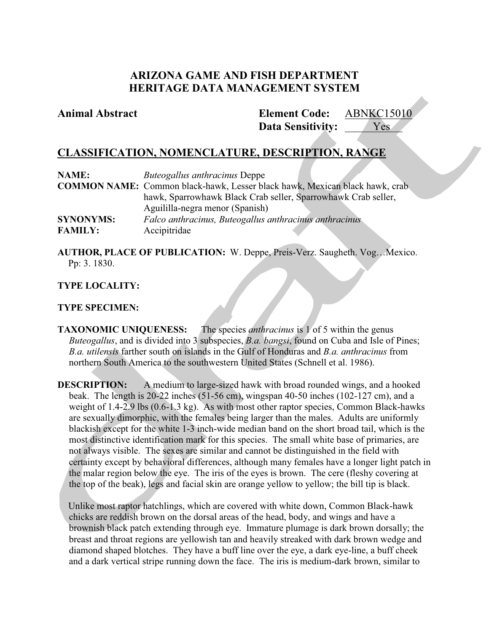# **ARIZONA GAME AND FISH DEPARTMENT HERITAGE DATA MANAGEMENT SYSTEM**

## **Animal Abstract Element Code:**

**Data Sensitivity:** ABNKC15010 Yes **Y** 

# **CLASSIFICATION, NOMENCLATURE, DESCRIPTION, RANGE**

| <b>NAME:</b>     | <i>Buteogallus anthracinus</i> Deppe                                                |
|------------------|-------------------------------------------------------------------------------------|
|                  | <b>COMMON NAME:</b> Common black-hawk, Lesser black hawk, Mexican black hawk, crab. |
|                  | hawk, Sparrowhawk Black Crab seller, Sparrowhawk Crab seller,                       |
|                  | Aguililla-negra menor (Spanish)                                                     |
| <b>SYNONYMS:</b> | Falco anthracinus, Buteogallus anthracinus anthracinus                              |
| <b>FAMILY:</b>   | Accipitridae                                                                        |

**AUTHOR, PLACE OF PUBLICATION:** W. Deppe, Preis-Verz. Saugheth. Vog…Mexico. Pp: 3. 1830.

## **TYPE LOCALITY:**

## **TYPE SPECIMEN:**

**TAXONOMIC UNIQUENESS:** The species *anthracinus* is 1 of 5 within the genus *Buteogallus*, and is divided into 3 subspecies, *B.a. bangsi*, found on Cuba and Isle of Pines; *B.a. utilensis* farther south on islands in the Gulf of Honduras and *B.a. anthracinus* from northern South America to the southwestern United States (Schnell et al. 1986).

**DESCRIPTION:** A medium to large-sized hawk with broad rounded wings, and a hooked beak. The length is 20-22 inches (51-56 cm), wingspan 40-50 inches (102-127 cm), and a weight of 1.4-2.9 lbs (0.6-1.3 kg). As with most other raptor species, Common Black-hawks are sexually dimorphic, with the females being larger than the males. Adults are uniformly blackish except for the white 1-3 inch-wide median band on the short broad tail, which is the most distinctive identification mark for this species. The small white base of primaries, are not always visible. The sexes are similar and cannot be distinguished in the field with certainty except by behavioral differences, although many females have a longer light patch in the malar region below the eye. The iris of the eyes is brown. The cere (fleshy covering at the top of the beak), legs and facial skin are orange yellow to yellow; the bill tip is black.

Unlike most raptor hatchlings, which are covered with white down, Common Black-hawk chicks are reddish brown on the dorsal areas of the head, body, and wings and have a brownish black patch extending through eye. Immature plumage is dark brown dorsally; the breast and throat regions are yellowish tan and heavily streaked with dark brown wedge and diamond shaped blotches. They have a buff line over the eye, a dark eye-line, a buff cheek and a dark vertical stripe running down the face. The iris is medium-dark brown, similar to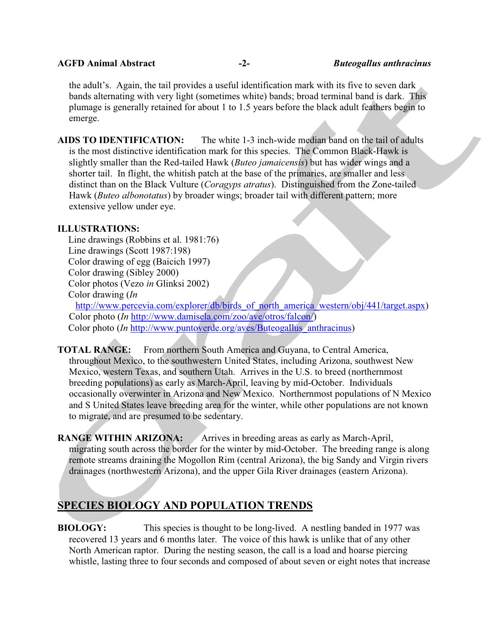### **AGFD Animal Abstract -2-** *Buteogallus anthracinus*

the adult's. Again, the tail provides a useful identification mark with its five to seven dark bands alternating with very light (sometimes white) bands; broad terminal band is dark. This plumage is generally retained for about 1 to 1.5 years before the black adult feathers begin to emerge.

**AIDS TO IDENTIFICATION:** The white 1-3 inch-wide median band on the tail of adults is the most distinctive identification mark for this species. The Common Black-Hawk is slightly smaller than the Red-tailed Hawk (*Buteo jamaicensis*) but has wider wings and a shorter tail. In flight, the whitish patch at the base of the primaries, are smaller and less distinct than on the Black Vulture (*Coragyps atratus*). Distinguished from the Zone-tailed Hawk (*Buteo albonotatus*) by broader wings; broader tail with different pattern; more extensive yellow under eye.

## **ILLUSTRATIONS:**

Line drawings (Robbins et al. 1981:76) Line drawings (Scott 1987:198) Color drawing of egg (Baicich 1997) Color drawing (Sibley 2000) Color photos (Vezo *in* Glinksi 2002) Color drawing (*In*

http://www.percevia.com/explorer/db/birds of north america western/obj/441/target.aspx) Color photo (*In* http://www.damisela.com/zoo/ave/otros/falcon/) Color photo (*In* http://www.puntoverde.org/aves/Buteogallus anthracinus)

**TOTAL RANGE:** From northern South America and Guyana, to Central America, throughout Mexico, to the southwestern United States, including Arizona, southwest New Mexico, western Texas, and southern Utah. Arrives in the U.S. to breed (northernmost breeding populations) as early as March-April, leaving by mid-October. Individuals occasionally overwinter in Arizona and New Mexico. Northernmost populations of N Mexico and S United States leave breeding area for the winter, while other populations are not known to migrate, and are presumed to be sedentary.

**RANGE WITHIN ARIZONA:** Arrives in breeding areas as early as March-April, migrating south across the border for the winter by mid-October. The breeding range is along remote streams draining the Mogollon Rim (central Arizona), the big Sandy and Virgin rivers drainages (northwestern Arizona), and the upper Gila River drainages (eastern Arizona).

# **SPECIES BIOLOGY AND POPULATION TRENDS**

**BIOLOGY:** This species is thought to be long-lived. A nestling banded in 1977 was recovered 13 years and 6 months later. The voice of this hawk is unlike that of any other North American raptor. During the nesting season, the call is a load and hoarse piercing whistle, lasting three to four seconds and composed of about seven or eight notes that increase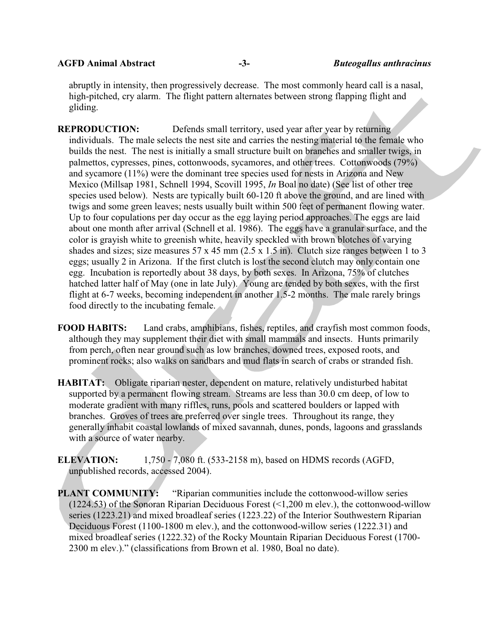**AGFD Animal Abstract -3-** *Buteogallus anthracinus*

abruptly in intensity, then progressively decrease. The most commonly heard call is a nasal, high-pitched, cry alarm. The flight pattern alternates between strong flapping flight and gliding.

- **REPRODUCTION:** Defends small territory, used year after year by returning individuals. The male selects the nest site and carries the nesting material to the female who builds the nest. The nest is initially a small structure built on branches and smaller twigs, in palmettos, cypresses, pines, cottonwoods, sycamores, and other trees. Cottonwoods (79%) and sycamore (11%) were the dominant tree species used for nests in Arizona and New Mexico (Millsap 1981, Schnell 1994, Scovill 1995, *In* Boal no date) (See list of other tree species used below). Nests are typically built 60-120 ft above the ground, and are lined with twigs and some green leaves; nests usually built within 500 feet of permanent flowing water. Up to four copulations per day occur as the egg laying period approaches. The eggs are laid about one month after arrival (Schnell et al. 1986). The eggs have a granular surface, and the color is grayish white to greenish white, heavily speckled with brown blotches of varying shades and sizes; size measures 57 x 45 mm (2.5 x 1.5 in). Clutch size ranges between 1 to 3 eggs; usually 2 in Arizona. If the first clutch is lost the second clutch may only contain one egg. Incubation is reportedly about 38 days, by both sexes. In Arizona, 75% of clutches hatched latter half of May (one in late July). Young are tended by both sexes, with the first flight at 6-7 weeks, becoming independent in another 1.5-2 months. The male rarely brings food directly to the incubating female.
- **FOOD HABITS:** Land crabs, amphibians, fishes, reptiles, and crayfish most common foods, although they may supplement their diet with small mammals and insects. Hunts primarily from perch, often near ground such as low branches, downed trees, exposed roots, and prominent rocks; also walks on sandbars and mud flats in search of crabs or stranded fish.
- **HABITAT:** Obligate riparian nester, dependent on mature, relatively undisturbed habitat supported by a permanent flowing stream. Streams are less than 30.0 cm deep, of low to moderate gradient with many riffles, runs, pools and scattered boulders or lapped with branches. Groves of trees are preferred over single trees. Throughout its range, they generally inhabit coastal lowlands of mixed savannah, dunes, ponds, lagoons and grasslands with a source of water nearby.
- **ELEVATION:** 1,750 7,080 ft. (533-2158 m), based on HDMS records (AGFD, unpublished records, accessed 2004).
- **PLANT COMMUNITY:** "Riparian communities include the cottonwood-willow series (1224.53) of the Sonoran Riparian Deciduous Forest (<1,200 m elev.), the cottonwood-willow series (1223.21) and mixed broadleaf series (1223.22) of the Interior Southwestern Riparian Deciduous Forest (1100-1800 m elev.), and the cottonwood-willow series (1222.31) and mixed broadleaf series (1222.32) of the Rocky Mountain Riparian Deciduous Forest (1700- 2300 m elev.)." (classifications from Brown et al. 1980, Boal no date).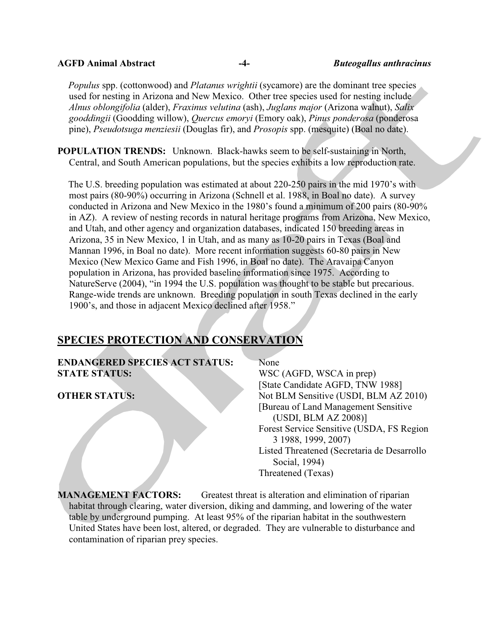#### **AGFD Animal Abstract -4-** *Buteogallus anthracinus*

*Populus* spp. (cottonwood) and *Platanus wrightii* (sycamore) are the dominant tree species used for nesting in Arizona and New Mexico. Other tree species used for nesting include *Alnus oblongifolia* (alder), *Fraxinus velutina* (ash), *Juglans major* (Arizona walnut), *Salix gooddingii* (Goodding willow), *Quercus emoryi* (Emory oak), *Pinus ponderosa* (ponderosa pine), *Pseudotsuga menziesii* (Douglas fir), and *Prosopis* spp. (mesquite) (Boal no date).

**POPULATION TRENDS:** Unknown. Black-hawks seem to be self-sustaining in North, Central, and South American populations, but the species exhibits a low reproduction rate.

The U.S. breeding population was estimated at about 220-250 pairs in the mid 1970's with most pairs (80-90%) occurring in Arizona (Schnell et al. 1988, in Boal no date). A survey conducted in Arizona and New Mexico in the 1980's found a minimum of 200 pairs (80-90% in AZ). A review of nesting records in natural heritage programs from Arizona, New Mexico, and Utah, and other agency and organization databases, indicated 150 breeding areas in Arizona, 35 in New Mexico, 1 in Utah, and as many as 10-20 pairs in Texas (Boal and Mannan 1996, in Boal no date). More recent information suggests 60-80 pairs in New Mexico (New Mexico Game and Fish 1996, in Boal no date). The Aravaipa Canyon population in Arizona, has provided baseline information since 1975. According to NatureServe (2004), "in 1994 the U.S. population was thought to be stable but precarious. Range-wide trends are unknown. Breeding population in south Texas declined in the early 1900's, and those in adjacent Mexico declined after 1958."

# **SPECIES PROTECTION AND CONSERVATION**

**ENDANGERED SPECIES ACT STATUS:** None **STATE STATUS:** WSC (AGFD, WSCA in prep)

[State Candidate AGFD, TNW 1988] **OTHER STATUS:** Not BLM Sensitive (USDI, BLM AZ 2010) [Bureau of Land Management Sensitive (USDI, BLM AZ 2008)] Forest Service Sensitive (USDA, FS Region 3 1988, 1999, 2007) Listed Threatened (Secretaria de Desarrollo Social, 1994) Threatened (Texas)

**MANAGEMENT FACTORS:** Greatest threat is alteration and elimination of riparian habitat through clearing, water diversion, diking and damming, and lowering of the water table by underground pumping. At least 95% of the riparian habitat in the southwestern United States have been lost, altered, or degraded. They are vulnerable to disturbance and contamination of riparian prey species.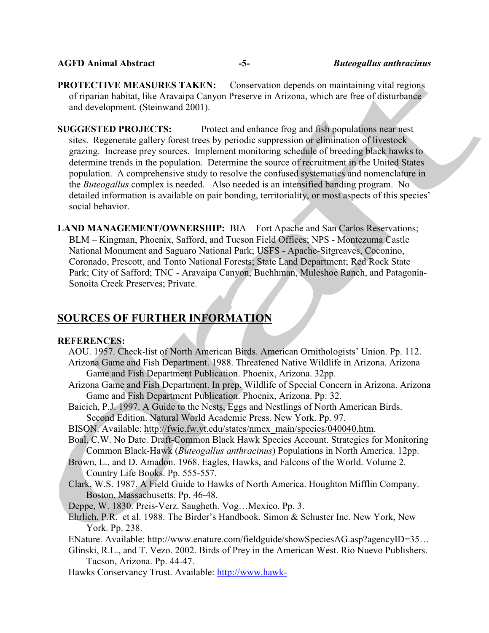#### **AGFD Animal Abstract -5-** *Buteogallus anthracinus*

**PROTECTIVE MEASURES TAKEN:** Conservation depends on maintaining vital regions of riparian habitat, like Aravaipa Canyon Preserve in Arizona, which are free of disturbance and development. (Steinwand 2001).

**SUGGESTED PROJECTS:** Protect and enhance frog and fish populations near nest sites. Regenerate gallery forest trees by periodic suppression or elimination of livestock grazing. Increase prey sources. Implement monitoring schedule of breeding black hawks to determine trends in the population. Determine the source of recruitment in the United States population. A comprehensive study to resolve the confused systematics and nomenclature in the *Buteogallus* complex is needed. Also needed is an intensified banding program. No detailed information is available on pair bonding, territoriality, or most aspects of this species' social behavior.

**LAND MANAGEMENT/OWNERSHIP:** BIA – Fort Apache and San Carlos Reservations; BLM – Kingman, Phoenix, Safford, and Tucson Field Offices; NPS - Montezuma Castle National Monument and Saguaro National Park; USFS - Apache-Sitgreaves, Coconino, Coronado, Prescott, and Tonto National Forests; State Land Department; Red Rock State Park; City of Safford; TNC - Aravaipa Canyon, Buehhman, Muleshoe Ranch, and Patagonia-Sonoita Creek Preserves; Private.

# **SOURCES OF FURTHER INFORMATION**

#### **REFERENCES:**

- AOU. 1957. Check-list of North American Birds. American Ornithologists' Union. Pp. 112. Arizona Game and Fish Department. 1988. Threatened Native Wildlife in Arizona. Arizona Game and Fish Department Publication. Phoenix, Arizona. 32pp.
- Arizona Game and Fish Department. In prep. Wildlife of Special Concern in Arizona. Arizona Game and Fish Department Publication. Phoenix, Arizona. Pp: 32.
- Baicich, P.J. 1997. A Guide to the Nests, Eggs and Nestlings of North American Birds. Second Edition. Natural World Academic Press. New York. Pp. 97.

BISON. Available: http://fwie.fw.vt.edu/states/nmex\_main/species/040040.htm.

- Boal, C.W. No Date. Draft-Common Black Hawk Species Account. Strategies for Monitoring Common Black-Hawk (*Buteogallus anthracinus*) Populations in North America. 12pp.
- Brown, L., and D. Amadon. 1968. Eagles, Hawks, and Falcons of the World. Volume 2. Country Life Books. Pp. 555-557.
- Clark, W.S. 1987. A Field Guide to Hawks of North America. Houghton Mifflin Company. Boston, Massachusetts. Pp. 46-48.
- Deppe, W. 1830. Preis-Verz. Saugheth. Vog…Mexico. Pp. 3.
- Ehrlich, P.R. et al. 1988. The Birder's Handbook. Simon & Schuster Inc. New York, New York. Pp. 238.
- ENature. Available: http://www.enature.com/fieldguide/showSpeciesAG.asp?agencyID=35…
- Glinski, R.L., and T. Vezo. 2002. Birds of Prey in the American West. Rio Nuevo Publishers. Tucson, Arizona. Pp. 44-47.
- Hawks Conservancy Trust. Available: http://www.hawk-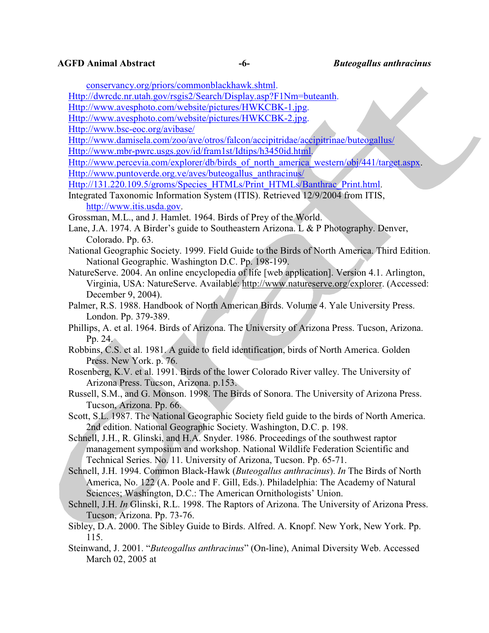conservancy.org/priors/commonblackhawk.shtml.

Http://dwrcdc.nr.utah.gov/rsgis2/Search/Display.asp?F1Nm=buteanth.

- Http://www.avesphoto.com/website/pictures/HWKCBK-1.jpg.
- Http://www.avesphoto.com/website/pictures/HWKCBK-2.jpg.

Http://www.bsc-eoc.org/avibase/

Http://www.damisela.com/zoo/ave/otros/falcon/accipitridae/accipitrinae/buteogallus/

Http://www.mbr-pwrc.usgs.gov/id/fram1st/Idtips/h3450id.html.

Http://www.percevia.com/explorer/db/birds of north america western/obj/441/target.aspx. Http://www.puntoverde.org.ve/aves/buteogallus\_anthracinus/

Http://131.220.109.5/groms/Species\_HTMLs/Print\_HTMLs/Banthrac\_Print.html.

Integrated Taxonomic Information System (ITIS). Retrieved 12/9/2004 from ITIS, http://www.itis.usda.gov.

Grossman, M.L., and J. Hamlet. 1964. Birds of Prey of the World.

- Lane, J.A. 1974. A Birder's guide to Southeastern Arizona. L & P Photography. Denver, Colorado. Pp. 63.
- National Geographic Society. 1999. Field Guide to the Birds of North America. Third Edition. National Geographic. Washington D.C. Pp. 198-199.
- NatureServe. 2004. An online encyclopedia of life [web application]. Version 4.1. Arlington, Virginia, USA: NatureServe. Available: http://www.natureserve.org/explorer. (Accessed: December 9, 2004).
- Palmer, R.S. 1988. Handbook of North American Birds. Volume 4. Yale University Press. London. Pp. 379-389.

Phillips, A. et al. 1964. Birds of Arizona. The University of Arizona Press. Tucson, Arizona. Pp. 24.

Robbins, C.S. et al. 1981. A guide to field identification, birds of North America. Golden Press. New York. p. 76.

Rosenberg, K.V. et al. 1991. Birds of the lower Colorado River valley. The University of Arizona Press. Tucson, Arizona. p.153.

Russell, S.M., and G. Monson. 1998. The Birds of Sonora. The University of Arizona Press. Tucson, Arizona. Pp. 66.

Scott, S.L. 1987. The National Geographic Society field guide to the birds of North America. 2nd edition. National Geographic Society. Washington, D.C. p. 198.

Schnell, J.H., R. Glinski, and H.A. Snyder. 1986. Proceedings of the southwest raptor management symposium and workshop. National Wildlife Federation Scientific and Technical Series. No. 11. University of Arizona, Tucson. Pp. 65-71.

Schnell, J.H. 1994. Common Black-Hawk (*Buteogallus anthracinus*). *In* The Birds of North America, No. 122 (A. Poole and F. Gill, Eds.). Philadelphia: The Academy of Natural Sciences; Washington, D.C.: The American Ornithologists' Union.

Schnell, J.H. *In* Glinski, R.L. 1998. The Raptors of Arizona. The University of Arizona Press. Tucson, Arizona. Pp. 73-76.

Sibley, D.A. 2000. The Sibley Guide to Birds. Alfred. A. Knopf. New York, New York. Pp. 115.

Steinwand, J. 2001. "*Buteogallus anthracinus*" (On-line), Animal Diversity Web. Accessed March 02, 2005 at